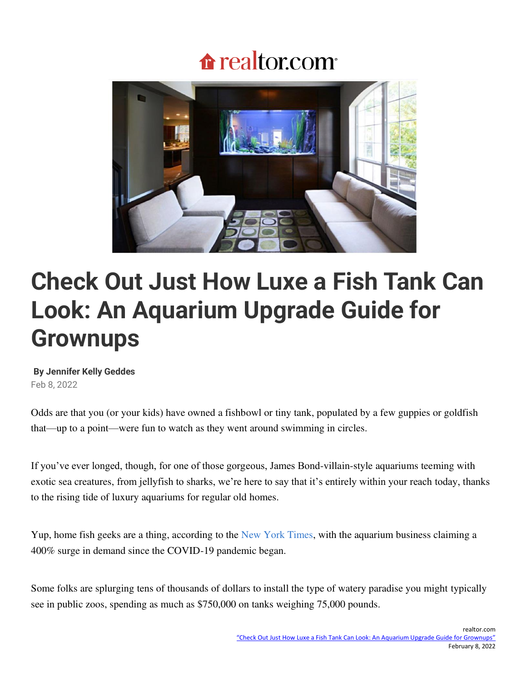# **f**realtor.com



# **Check Out Just How Luxe a Fish Tank Can Look: An Aquarium Upgrade Guide for Grownups**

#### **B[y Jennifer Kelly Geddes](https://www.realtor.com/author/jennifer-geddes/)**

Feb 8, 2022

Odds are that you (or your kids) have owned a fishbowl or tiny tank, populated by a few guppies or goldfish that—up to a point—were fun to watch as they went around swimming in circles.

If you've ever longed, though, for one of those gorgeous, James Bond-villain-style aquariums teeming with exotic sea creatures, from jellyfish to sharks, we're here to say that it's entirely within your reach today, thanks to the rising tide of luxury aquariums for regular old homes.

Yup, home fish geeks are a thing, according to the [New York Times,](https://www.nytimes.com/2021/10/12/realestate/high-end-home-aquariums.html) with the aquarium business claiming a 400% surge in demand since the COVID-19 pandemic began.

Some folks are splurging tens of thousands of dollars to install the type of watery paradise you might typically see in public zoos, spending as much as \$750,000 on tanks weighing 75,000 pounds.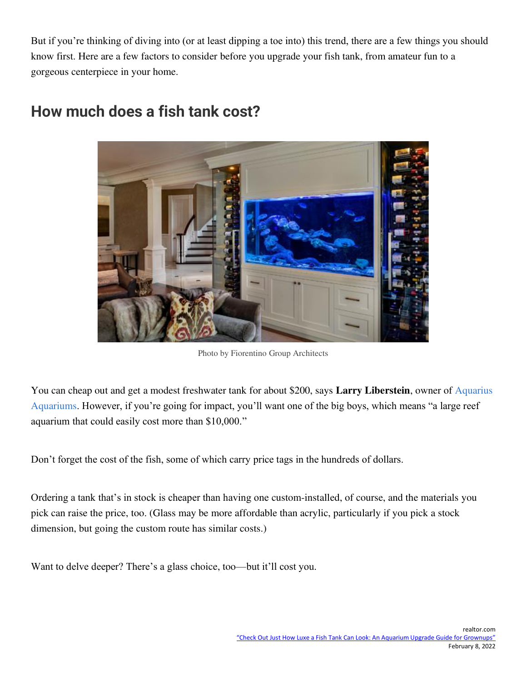But if you're thinking of diving into (or at least dipping a toe into) this trend, there are a few things you should know first. Here are a few factors to consider before you upgrade your fish tank, from amateur fun to a gorgeous centerpiece in your home.



## **How much does a fish tank cost?**

[Photo by Fiorentino Group Architects](https://www.houzz.com/professionals/architects-and-building-designers/fiorentino-group-architects-pfvwus-pf~185145486)

You can cheap out and get a modest freshwater tank for about \$200, says **Larry Liberstein**, owner of [Aquarius](https://aquariusaquariums.net/)  [Aquariums](https://aquariusaquariums.net/). However, if you're going for impact, you'll want one of the big boys, which means "a large reef aquarium that could easily cost more than \$10,000."

Don't forget the cost of the fish, some of which carry price tags in the hundreds of dollars.

Ordering a tank that's in stock is cheaper than having one custom-installed, of course, and the materials you pick can raise the price, too. (Glass may be more affordable than acrylic, particularly if you pick a stock dimension, but going the custom route has similar costs.)

Want to delve deeper? There's a glass choice, too—but it'll cost you.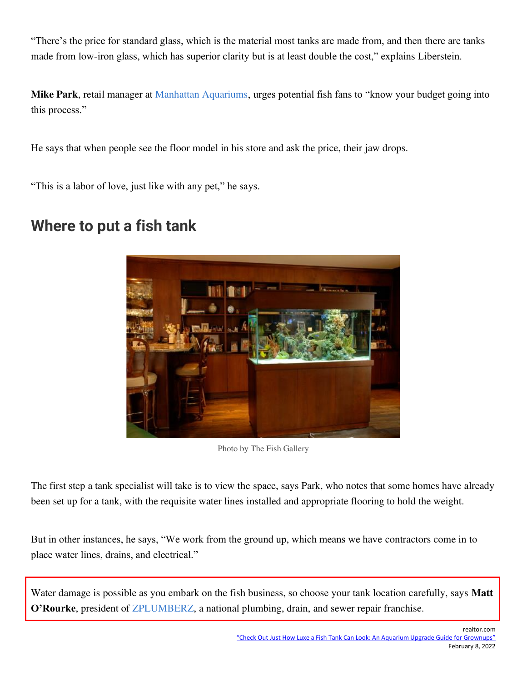"There's the price for standard glass, which is the material most tanks are made from, and then there are tanks made from low-iron glass, which has superior clarity but is at least double the cost," explains Liberstein.

**Mike Park**, retail manager at [Manhattan Aquariums](https://manhattanaquariums.com/), urges potential fish fans to "know your budget going into this process."

He says that when people see the floor model in his store and ask the price, their jaw drops.

"This is a labor of love, just like with any pet," he says.

#### **Where to put a fish tank**



[Photo by The Fish Gallery](https://www.houzz.com/professionals/furniture-and-accessories/the-fish-gallery-pfvwus-pf~377509816)

The first step a tank specialist will take is to view the space, says Park, who notes that some homes have already been set up for a tank, with the requisite water lines installed and appropriate flooring to hold the weight.

But in other instances, he says, "We work from the ground up, which means we have contractors come in to place water lines, drains, and electrical."

Water damage is possible as you embark on the fish business, so choose your tank location carefully, says **Matt O'Rourke**, president of [ZPLUMBERZ,](https://www.zplumberz.com/) a national plumbing, drain, and sewer repair franchise.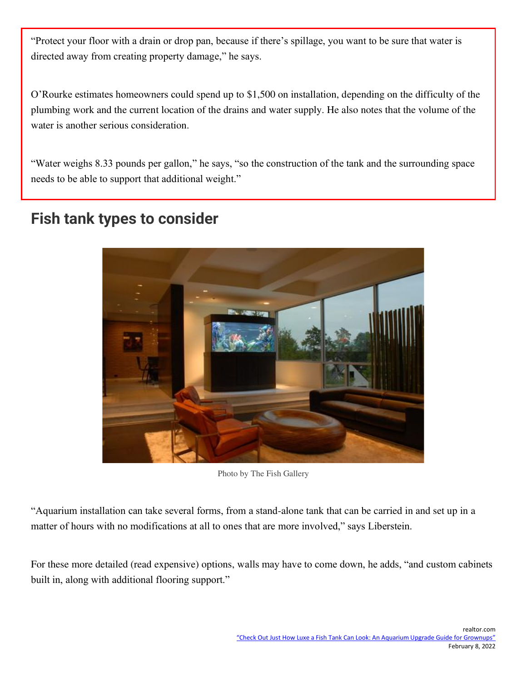"Protect your floor with a drain or drop pan, because if there's spillage, you want to be sure that water is directed away from creating property damage," he says.

O'Rourke estimates homeowners could spend up to \$1,500 on installation, depending on the difficulty of the plumbing work and the current location of the drains and water supply. He also notes that the volume of the water is another serious consideration.

"Water weighs 8.33 pounds per gallon," he says, "so the construction of the tank and the surrounding space needs to be able to support that additional weight."

### **Fish tank types to consider**



[Photo by The Fish Gallery](https://www.houzz.com/professionals/furniture-and-accessories/the-fish-gallery-pfvwus-pf~377509816)

"Aquarium installation can take several forms, from a stand-alone tank that can be carried in and set up in a matter of hours with no modifications at all to ones that are more involved," says Liberstein.

For these more detailed (read expensive) options, walls may have to come down, he adds, "and custom cabinets built in, along with additional flooring support."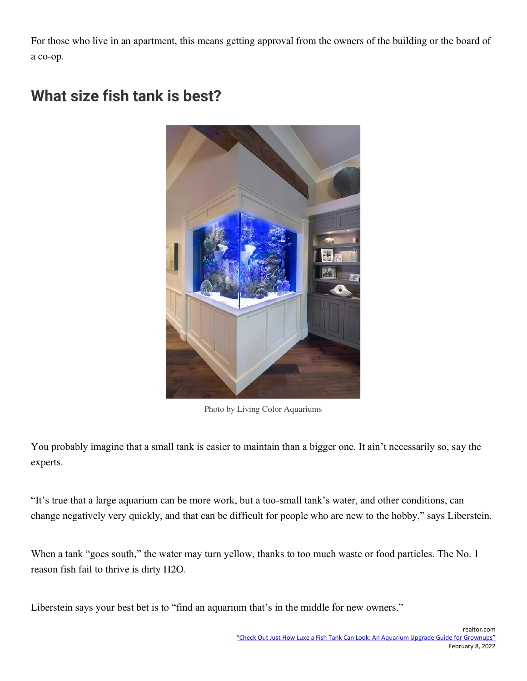For those who live in an apartment, this means getting approval from the owners of the building or the board of a co-op.



# **What size fish tank is best?**

[Photo by Living Color Aquariums](https://www.houzz.com/professionals/design-build-firms/living-color-aquariums-pfvwus-pf~93104141)

You probably imagine that a small tank is easier to maintain than a bigger one. It ain't necessarily so, say the experts.

"It's true that a large aquarium can be more work, but a too-small tank's water, and other conditions, can change negatively very quickly, and that can be difficult for people who are new to the hobby," says Liberstein.

When a tank "goes south," the water may turn yellow, thanks to too much waste or food particles. The No. 1 reason fish fail to thrive is dirty H2O.

Liberstein says your best bet is to "find an aquarium that's in the middle for new owners."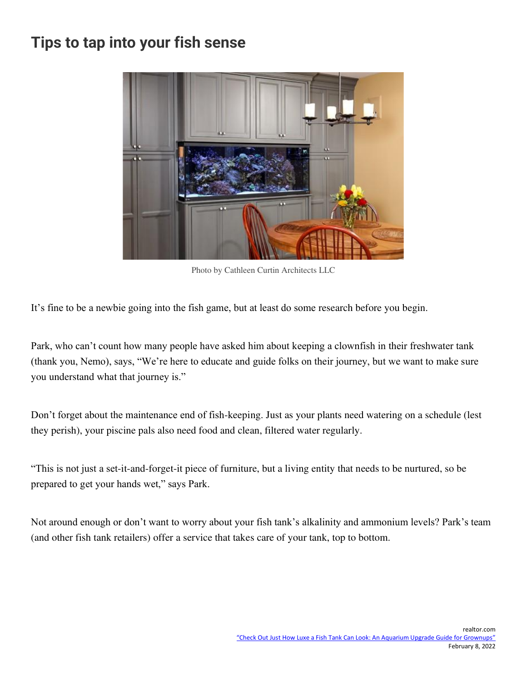### **Tips to tap into your fish sense**



[Photo by Cathleen Curtin Architects LLC](https://www.houzz.com/professionals/interior-designers-and-decorators/cathleen-curtin-architects-llc-pfvwus-pf~1384449430)

It's fine to be a newbie going into the fish game, but at least do some research before you begin.

Park, who can't count how many people have asked him about keeping a clownfish in their freshwater tank (thank you, Nemo), says, "We're here to educate and guide folks on their journey, but we want to make sure you understand what that journey is."

Don't forget about the maintenance end of fish-keeping. Just as your plants need watering on a schedule (lest they perish), your piscine pals also need food and clean, filtered water regularly.

"This is not just a set-it-and-forget-it piece of furniture, but a living entity that needs to be nurtured, so be prepared to get your hands wet," says Park.

Not around enough or don't want to worry about your fish tank's alkalinity and ammonium levels? Park's team (and other fish tank retailers) offer a service that takes care of your tank, top to bottom.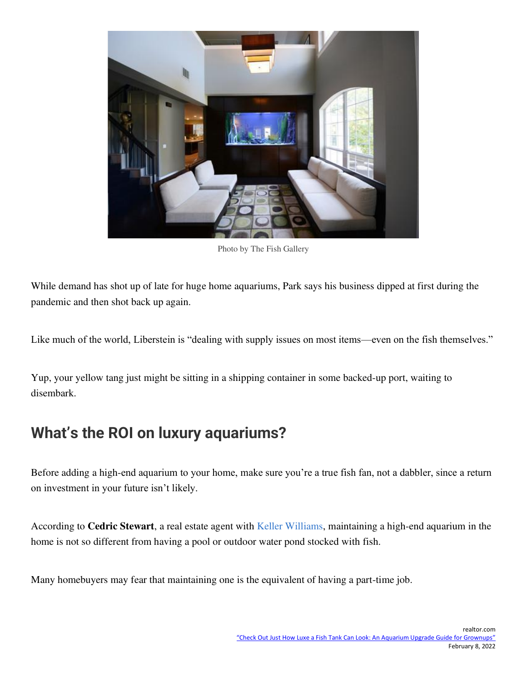

[Photo by The Fish Gallery](https://www.houzz.com/professionals/furniture-and-accessories/the-fish-gallery-pfvwus-pf~377509816)

While demand has shot up of late for huge home aquariums, Park says his business dipped at first during the pandemic and then shot back up again.

Like much of the world, Liberstein is "dealing with supply issues on most items—even on the fish themselves."

Yup, your yellow tang just might be sitting in a shipping container in some backed-up port, waiting to disembark.

## **What's the ROI on luxury aquariums?**

Before adding a high-end aquarium to your home, make sure you're a true fish fan, not a dabbler, since a return on investment in your future isn't likely.

According to **Cedric Stewart**, a real estate agent with [Keller Williams,](https://www.kw.com/agent/UPA-6587385232407367685-7) maintaining a high-end aquarium in the home is not so different from having a pool or outdoor water pond stocked with fish.

Many homebuyers may fear that maintaining one is the equivalent of having a part-time job.